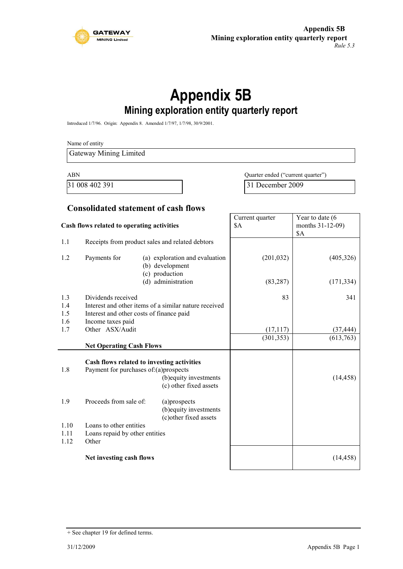

# **Appendix 5B Mining exploration entity quarterly report**

Introduced 1/7/96. Origin: Appendix 8. Amended 1/7/97, 1/7/98, 30/9/2001.

Name of entity Gateway Mining Limited ABN Quarter ended ("current quarter")

31 008 402 391 31 December 2009

#### **Consolidated statement of cash flows**

| Cash flows related to operating activities |                                                                                     | Current quarter<br>\$A                                              | Year to date (6<br>months 31-12-09)<br>\$A |            |
|--------------------------------------------|-------------------------------------------------------------------------------------|---------------------------------------------------------------------|--------------------------------------------|------------|
| 1.1                                        |                                                                                     | Receipts from product sales and related debtors                     |                                            |            |
| 1.2                                        | Payments for                                                                        | (a) exploration and evaluation<br>(b) development<br>(c) production | (201, 032)                                 | (405,326)  |
|                                            |                                                                                     | (d) administration                                                  | (83, 287)                                  | (171, 334) |
| 1.3                                        | Dividends received                                                                  |                                                                     | 83                                         | 341        |
| 1.4                                        |                                                                                     | Interest and other items of a similar nature received               |                                            |            |
| 1.5                                        | Interest and other costs of finance paid                                            |                                                                     |                                            |            |
| 1.6                                        | Income taxes paid                                                                   |                                                                     |                                            |            |
| 1.7                                        | Other ASX/Audit                                                                     |                                                                     | (17, 117)                                  | (37, 444)  |
|                                            | <b>Net Operating Cash Flows</b>                                                     |                                                                     | (301, 353)                                 | (613,763)  |
| 1.8                                        | Cash flows related to investing activities<br>Payment for purchases of:(a)prospects | (b) equity investments<br>(c) other fixed assets                    |                                            | (14, 458)  |
| 1.9                                        | Proceeds from sale of:                                                              | (a)prospects<br>(b) equity investments<br>(c) other fixed assets    |                                            |            |
| 1.10                                       | Loans to other entities                                                             |                                                                     |                                            |            |
| 1.11                                       | Loans repaid by other entities                                                      |                                                                     |                                            |            |
| 1.12                                       | Other                                                                               |                                                                     |                                            |            |
|                                            | Net investing cash flows                                                            |                                                                     |                                            | (14, 458)  |

<sup>+</sup> See chapter 19 for defined terms.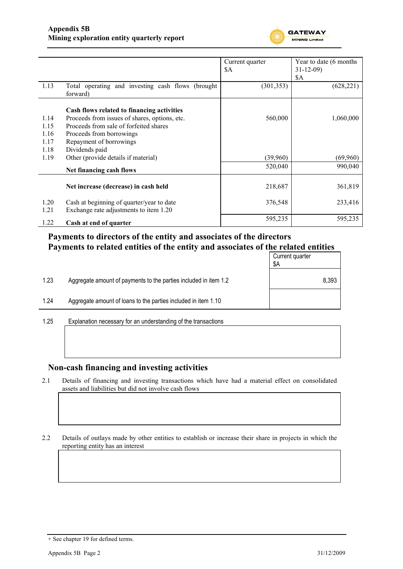

|      |                                                               | Current quarter | Year to date (6 months) |
|------|---------------------------------------------------------------|-----------------|-------------------------|
|      |                                                               | \$A             | $31 - 12 - 09$          |
|      |                                                               |                 | \$A                     |
| 1.13 | Total operating and investing cash flows (brought<br>forward) | (301, 353)      | (628, 221)              |
|      |                                                               |                 |                         |
|      | Cash flows related to financing activities                    |                 |                         |
| 1.14 | Proceeds from issues of shares, options, etc.                 | 560,000         | 1,060,000               |
| 1.15 | Proceeds from sale of forfeited shares                        |                 |                         |
| 1.16 | Proceeds from borrowings                                      |                 |                         |
| 1.17 | Repayment of borrowings                                       |                 |                         |
| 1.18 | Dividends paid                                                |                 |                         |
| 1.19 | Other (provide details if material)                           | (39,960)        | (69,960)                |
|      | Net financing cash flows                                      | 520,040         | 990,040                 |
|      |                                                               |                 |                         |
|      | Net increase (decrease) in cash held                          | 218,687         | 361,819                 |
| 1.20 | Cash at beginning of quarter/year to date                     | 376,548         | 233,416                 |
| 1.21 | Exchange rate adjustments to item 1.20                        |                 |                         |
| 1.22 | Cash at end of quarter                                        | 595,235         | 595,235                 |

### **Payments to directors of the entity and associates of the directors Payments to related entities of the entity and associates of the related entities**

|                      |                                                                  | Current quarter<br>\$Α |
|----------------------|------------------------------------------------------------------|------------------------|
| 1.23                 | Aggregate amount of payments to the parties included in item 1.2 | 8,393                  |
| 1.24                 | Aggregate amount of loans to the parties included in item 1.10   |                        |
| $\sim$ $\sim$ $\sim$ |                                                                  |                        |

1.25 Explanation necessary for an understanding of the transactions

### **Non-cash financing and investing activities**

2.1 Details of financing and investing transactions which have had a material effect on consolidated assets and liabilities but did not involve cash flows

2.2 Details of outlays made by other entities to establish or increase their share in projects in which the reporting entity has an interest

<sup>+</sup> See chapter 19 for defined terms.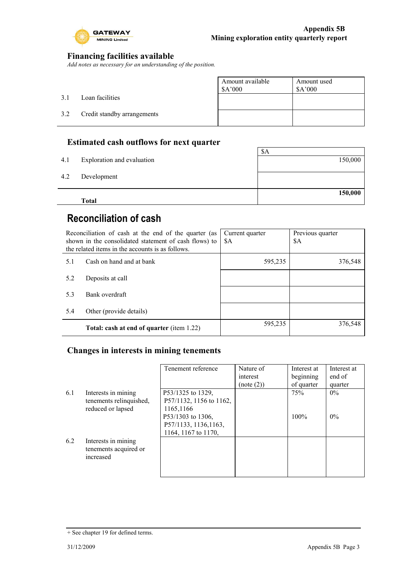

### **Financing facilities available**

*Add notes as necessary for an understanding of the position.*

|     |                             | Amount available<br>\$A'000 | Amount used<br>\$A'000 |
|-----|-----------------------------|-----------------------------|------------------------|
| 3.1 | Loan facilities             |                             |                        |
| 3.2 | Credit standby arrangements |                             |                        |
|     |                             |                             |                        |

### **Estimated cash outflows for next quarter**

|     | <b>Total</b>               |         |
|-----|----------------------------|---------|
|     |                            | 150,000 |
| 4.2 | Development                |         |
| 4.1 | Exploration and evaluation | 150,000 |
|     |                            | \$A     |

# **Reconciliation of cash**

| Reconciliation of cash at the end of the quarter (as<br>shown in the consolidated statement of cash flows) to<br>the related items in the accounts is as follows. |                                           | Current quarter<br>\$A | Previous quarter<br>\$A |
|-------------------------------------------------------------------------------------------------------------------------------------------------------------------|-------------------------------------------|------------------------|-------------------------|
| 5.1                                                                                                                                                               | Cash on hand and at bank                  | 595,235                | 376,548                 |
| 5.2                                                                                                                                                               | Deposits at call                          |                        |                         |
| 5.3                                                                                                                                                               | Bank overdraft                            |                        |                         |
| 5.4                                                                                                                                                               | Other (provide details)                   |                        |                         |
|                                                                                                                                                                   | Total: cash at end of quarter (item 1.22) | 595,235                | 376,548                 |

### **Changes in interests in mining tenements**

|     |                                                                     | Tenement reference                                                | Nature of<br>interest<br>(note (2)) | Interest at<br>beginning<br>of quarter | Interest at<br>end of<br>quarter |
|-----|---------------------------------------------------------------------|-------------------------------------------------------------------|-------------------------------------|----------------------------------------|----------------------------------|
| 6.1 | Interests in mining<br>tenements relinquished,<br>reduced or lapsed | P53/1325 to 1329,<br>P57/1132, 1156 to 1162,<br>1165,1166         |                                     | 75%                                    | $0\%$                            |
|     |                                                                     | P53/1303 to 1306,<br>P57/1133, 1136, 1163,<br>1164, 1167 to 1170, |                                     | 100%                                   | $0\%$                            |
| 6.2 | Interests in mining<br>tenements acquired or<br>increased           |                                                                   |                                     |                                        |                                  |

<sup>+</sup> See chapter 19 for defined terms.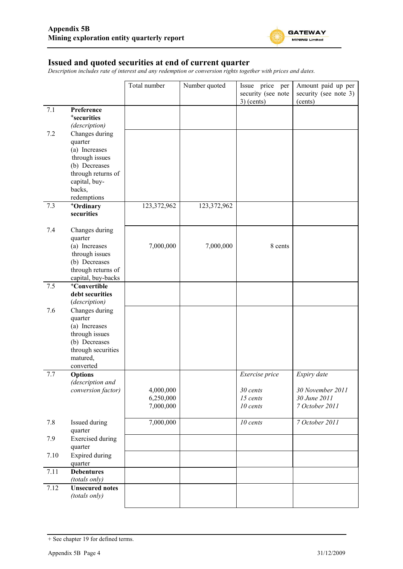

#### **Issued and quoted securities at end of current quarter**

*Description includes rate of interest and any redemption or conversion rights together with prices and dates.*

|      |                                                                                                                                               | Total number                        | Number quoted | Issue price per<br>security (see note<br>$3)$ (cents) | Amount paid up per<br>security (see note 3)<br>(cents)            |
|------|-----------------------------------------------------------------------------------------------------------------------------------------------|-------------------------------------|---------------|-------------------------------------------------------|-------------------------------------------------------------------|
| 7.1  | Preference<br><sup>+</sup> securities<br>(description)                                                                                        |                                     |               |                                                       |                                                                   |
| 7.2  | Changes during<br>quarter<br>(a) Increases<br>through issues<br>(b) Decreases<br>through returns of<br>capital, buy-<br>backs,<br>redemptions |                                     |               |                                                       |                                                                   |
| 7.3  | +Ordinary<br>securities                                                                                                                       | 123,372,962                         | 123,372,962   |                                                       |                                                                   |
| 7.4  | Changes during<br>quarter<br>(a) Increases<br>through issues<br>(b) Decreases<br>through returns of<br>capital, buy-backs                     | 7,000,000                           | 7,000,000     | 8 cents                                               |                                                                   |
| 7.5  | <sup>+</sup> Convertible<br>debt securities<br>(description)                                                                                  |                                     |               |                                                       |                                                                   |
| 7.6  | Changes during<br>quarter<br>(a) Increases<br>through issues<br>(b) Decreases<br>through securities<br>matured,<br>converted                  |                                     |               |                                                       |                                                                   |
| 7.7  | <b>Options</b><br>(description and<br>conversion factor)                                                                                      | 4,000,000<br>6,250,000<br>7,000,000 |               | Exercise price<br>30 cents<br>15 cents<br>10 cents    | Expiry date<br>30 November 2011<br>30 June 2011<br>7 October 2011 |
| 7.8  | Issued during<br>quarter                                                                                                                      | 7,000,000                           |               | 10 cents                                              | 7 October 2011                                                    |
| 7.9  | <b>Exercised</b> during<br>quarter                                                                                                            |                                     |               |                                                       |                                                                   |
| 7.10 | <b>Expired during</b><br>quarter                                                                                                              |                                     |               |                                                       |                                                                   |
| 7.11 | <b>Debentures</b><br>(totals only)                                                                                                            |                                     |               |                                                       |                                                                   |
| 7.12 | <b>Unsecured notes</b><br>(totals only)                                                                                                       |                                     |               |                                                       |                                                                   |

<sup>+</sup> See chapter 19 for defined terms.